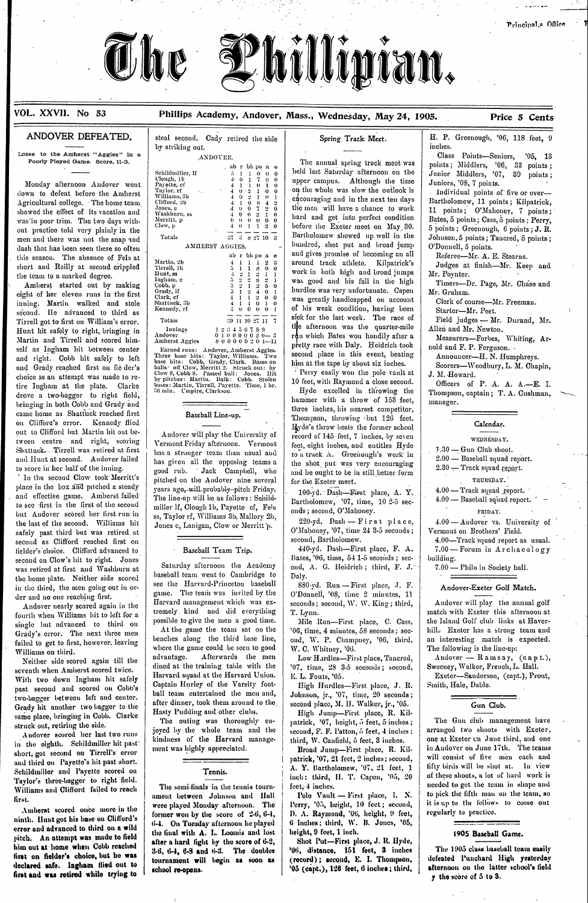



VOL. XXVII. No 53

Phillips Academy, Andover, Mass., Wednesday, May 24, 1905.

#### Price 5 Cents

#### ANDOVER DEFEATED.

Loses to the Amherst "Aggies" in a Poorly Played Game. Score, 11-3.

Monday afternoon Andover went down to defeat before the Amherst Agricultural college. The home team showed the effect of its vacation and was in poor trim. The two days without practice told very plainly in the men and there was not the snap and dash that has been seen there so often this season. The absence of Fels at short and Reilly at second crippled the team to a marked degree.

Amherst started out by making eight of her cleven runs in the first inning. Martin walked and stole second. He advanced to third as Tirrell got to first on William's error. Hunt hit safely to right, bringing in Martin and Tirrell and scored himself as Ingham hit between center and right. Cobb hit safely to left and Grady reached first on fie der's choice as an attempt was made to retire Ingham at the plate. Clarke drove a two-bagger to right field, bringing in both Cobb and Grady and came home as Shattuck reached first on Clifford's error. Kennedy flied out to Clifford but Martin hit out between centre and right, scoring Shattuck. Tirrell was retired at first and Hunt at second. Andover failed to score in her half of the inning.

In the second Clow took Merritt's place in the box and pitched a steady and effective game. Amherst failed to see first in the first of the second but Andover scored her first run in the last of the second. Williams hit safely past third but was retired at second as Clifford reached first on fielder's choice. Clifford advanced to second on Clow's hit to right. Jones was retired at first and Washburn at the home plate. Neither side scored in the third, the men going out in order and no one reaching first.

Andover nearly scored again in the fourth when Williams hit to left for a single but advanced to third on Grady's error. The next three men failed to get to first, however. leaving

| ふへいい じに                                   |                                     |               |                |              |                         |                   |  |
|-------------------------------------------|-------------------------------------|---------------|----------------|--------------|-------------------------|-------------------|--|
|                                           | ab                                  | r             | bh po          |              | u.                      | $\bullet$         |  |
| Schildmiller, If                          | $\ddot{\phantom{0}}$                | 1             | 1              | O.           | 0                       | 0                 |  |
| Clough, 1b                                | 4.                                  | $\bf{0}$      | $\mathbf{1}$   | 7.           | 0.                      | 0                 |  |
| Payette, cf                               | 4                                   | 1             | ı.             | υ.           | 1                       | 0                 |  |
| Taylor, rf                                | $\overline{\mathbf{4}}$             | O.            | $-9$           | $\mathbf{1}$ | $\mathbf{0}$            | $\bf{0}$          |  |
| Williams, 3b                              | $\overline{+}$                      | 0             | $\overline{2}$ | $\mathbf{1}$ | $\mathbf{0}$            | ı                 |  |
| Clifford, 2b                              | $\overline{4}$                      | 1             | $\mathbf{O}$   | S            | 4                       | 2                 |  |
| Jones, c                                  | $\overline{4}$                      | o             | $\mathbf{0}$   | 7            | $\overline{\mathbf{c}}$ | $\bf{0}$          |  |
| Washburn, ss                              | $\cdot$ 1                           | 0             | 0.             | 2            | $\mathbf{1}$            | 0                 |  |
| Merritt, p                                | $\mathbf{0}$                        | $\theta$      | $\mathbf{0}$   | ₩            | 0.                      | 0                 |  |
| Clow, p                                   | 4                                   | $\Omega$      | 1              | 1            | $\overline{a}$          | $\bf{0}$          |  |
|                                           |                                     |               |                |              |                         |                   |  |
| Totals                                    | 37                                  | 3             |                | 8,27,10      |                         | ä                 |  |
| AMHERST AGGIES.                           |                                     |               |                |              |                         |                   |  |
|                                           | ab                                  | r             | bh po          |              | a.                      | e                 |  |
| Martin, 2b                                | $\overline{4}$                      | i             |                |              |                         | 3                 |  |
| Tirrell, 1b                               | 5.                                  | 1             | 1<br>1         | 1            | $\ddot{ }$<br>0         | 0                 |  |
| Hunt, ss                                  | $\ddot{ }$                          | $\ddot{ }$    |                |              | $\mathbf{I}$            | $\mathbf{1}$      |  |
| Ingham, c                                 |                                     | ¥,            | 1212           | するみある        |                         | $\mathbf{1}$      |  |
| Cobb, p                                   | ្នំ<br>ភូមិ<br>ភូ                   |               |                |              | $\frac{2}{5}$           | $\bf{0}$          |  |
| Grady, If                                 |                                     | $\frac{3}{1}$ |                |              | $\bf{0}$                | $\mathbf{1}$      |  |
| Clark, cf                                 | $\ddagger$                          | $\mathbf{1}$  |                | ž,           | $\bf{0}$                | 0                 |  |
| Shattuck, 3b                              | $\ddot{\phantom{0}}$                | $\mathbf{I}$  | $\mathbf{1}$   | 0            | $\mathbf{1}$            | $\bf{0}$          |  |
| Kennedy, rf-                              | ij.                                 | 0             | 0              | o            | $\theta$                | $\mathbf{1}$<br>k |  |
|                                           |                                     |               |                |              |                         |                   |  |
| Totais                                    | 59                                  | $_{11}$       | $10 - 27$      |              | 11                      | 7                 |  |
| Innings                                   | $1 \leq 3$                          | 456           | 7.             | S 9          |                         |                   |  |
| Andover                                   | 0 <sub>1</sub><br>$\mathbf{0}$<br>0 | $\mathbf{0}$  | $0 0 2 0 - 3$  |              |                         |                   |  |
| Amherst Aggies                            | 800                                 |               | $000201 - 11$  |              |                         |                   |  |
| Earned runs: Andover, Amherst Aggies.<br> |                                     |               |                |              |                         |                   |  |

steal second. Cady retired the side

by striking out.

Three base hits: Taylor, Williams. Two<br>base hits: Cobb, Grady, Clark. Bases on<br>balls off Clow, Merritt 2. Struck out: by<br>Clow 8, Cobb 8. Passed ball: Jones. Hit<br>by pitcher: Martin, Balk: Cobb. Stolen bases: Martin, Tirrell, Payette. Time, 1 hr. 50 min. Umpire, Clarkson.



Andover will play the University of Vermont Friday afternoon. Vermont has a stronger team than usual and has given all the opposing teams a good rub. Jack Campbell, who pitched on the Andover nine several years ago,-will-probably-pitch Friday. The line-up will be as follows: Schildmiller If, Clough 1b, Payette cf, Fels ss, Taylor rf, Williams 3b, Mallory 2b, Jones c, Lanigan, Clow or Merritt p.

#### Baseball Team Trip.

Saturday afternoon the Academy baseball team went to Cambridge to see the Harvard-Princeton baseball game. The team was invited by the Harvard management which was extremely kind and did everything possible to give the men a good time.

At the game the team sat on the benches along the third base line, where the game could be seen to good Afterwards the men advantage. dined at the training table with the Harvard squad at the Harvard Union. Captain Hurley of the Varsity football team entertained the men and, after dinner, took them around to the Hasty Pudding and other clubs.

#### Spring Track Meet.

The annual spring track meet was held last Saturday afternoon on the upper campus. Although the time on the whole was slow the outlook is encouraging and in the next ten days the men will have a chance to work hard and get into perfect condition before the Exeter meet on May 30. Bartholomew showed up well in the hundred, shot put and broad jump and gives promise of becoming an all around track athlete. Kilpatrick's work in both high and broad jumps was good and his fall in the high hurdles was very unfortunate. Capen was greatly handicapped on account of his weak condition, having been sick for the last week. The race of the afternoon was the quarter-mile run which Bates won handily after a pretty race with Daly. Heidrich took second place in this event, beating him at the tape by about six inches.

Perry easily won the pole vault at 10 feet, with Raymond a close second.

Hyde excelled in throwing the hammer with a throw of 153 feet, three inches, his nearest competitor, Thompson, throwing but 126 feet. Hyde's throw beats the former school record of 145 feet, 7 inches, by seven feet, eight inches, and entitles Hyde to a track A. Greenough's work in the shot put was very encouraging and he ought to be in still better form for the Exeter meet.

100-yd. Dash-First place, A. Y. Bartholomew, '07, time, 10 2-5 seconds; second, O'Mahoney.

220-yd. Dash - First place, O'Mahoney, '07, time 24 3-5 seconds; second, Bartholomew.

440-yd. Dash-First place, F. A. Bates, '06, time, 54 1-5 seconds; second, A. G. Heidrich; third, F. J. Daly.

880-yd. Run - First place, J. F. O'Donnell, '08, time 2 minutes, 11 seconds; second, W. W. King; third, T. Lynn.

Mile Run-First place, C. Cass, '06, time, 4 minutes, 58 seconds; second, W. P. Champney, '06,' third, W. C. Whitney, '06.

H. P. Greenough, '06, 118 feet, 9 inches.

Class Points-Seniors, 205, 13 points; Middlers, '06, 33 points; Junior Middlers, '07, 39 points; Juniors, '08, 7 points.

Individual points of five or over-Bartholomew, 11 points; Kilpatrick, 11 points; O'Mahoney, 7 points; Bates, 5 points; Cass, 5 points; Perry, 5 points; Greenough, 6 points; J. R. Johnson, 5 points; Tancred, 5 points; O'Donnell, 5 points.

Referee-Mr. A. E. Stearns.

Judges at finish-Mr. Keep and Mr. Poynter.

Timers-Dr. Page, Mr. Chase and Mr. Graham.

Clerk of course-Mr. Freeman. Starter-Mr. Peet.

Field judges - Mr. Durand, Mr. Allen and Mr. Newton.

Measurers-Forbes, Whiting, Arnold and F. P. Ferguson. .

Announcer-H. N. Humphreys. Scorers-Woodbury, L. M. Chapin.

J. M. Howard. Officers of P. A. A. A. -E. I. Thompson, captain; T. A. Cushman, manager.

#### Calendar.

#### WEDNESDAY.

- $1.30 -$  Gun Club shoot.
- 2.00 Baseball squad report.
- $2.30 -$  Track squad report.

#### THURSDAY.

 $4.00$  — Track squad report.

4.00 - Baseball squad report.

#### FRIDAY.

 $4.00 -$  Andover vs. University of Vermont on Brothers' Field.

4.00-Track squad report as usual. 7.00 - Forum in Archaeology building.

7.00 - Philo in Society hall.

#### Andover-Exeter Golf Match.

Andover will play the annual golf match with Exeter this afternoon at the Island Golf club links at Haverhill. Exeter has a strong team and an interesting match is expected. The following is the line-up:

Williams on third.

Neither side scored again till the seventh when Amherst scored twice. With two down Ingham hit safely past second and scored on Cobb's two-bagger between left and center. Grady hit another two bagger to the same place, bringing in Cobb. Clarke struck out, retiring the side.

Andover scored her last two runs in the eighth. Schildmiller hit past short, got second on Tirrell's error and third on Payette's hit past short. Schildmiller and Payette scored on Taylor's three-bagger to right field. Williams and Clifford failed to reach first.

Amherst scored once more in the ninth. Hunt got his base on Clifford's error and advanced to third on a wild pitch. An attempt was made to field him out at home when Cobb reached first on fielder's choice, but he was declared safe. Ingham flied out to first and was retired while trying to

The outing was thoroughly enjoyed by the whole team and the kindness of the Harvard management was highly appreciated.

#### Tennis.

The semi-finals in the tennis tournament between Johnson and Hall were played Monday afternoon. The former won by the score of  $2.6, 6.4$ , 6-4. On Tuesday afternoon he played the final with A. L. Loomis and lost after a hard fight by the score of  $6-2$ , 3.6, 6.4, 6.8 and 6.3. The doubles tournament will begin as soon as school re-opens.

Low Hardles-First place, Tancred, '07, time, 28 3-5 seconds; second, E. L. Fouts, '05.

High Hurdles-First place, J. R. Johnson, jr., '07, time, 20 seconds; second place, M. H. Walker, jr., '05. High Jump-First place, R. Kilpatrick, '07, height, 5 feet, 5 inches; second, F. F. Patton, 5 feet, 4 inches ; third, W. Canfield, 5 feet, 8 inches.

Broad Jump-First place, R. Kilpatrick, '07, 21 feet, 2 inches; second, A. Y. Bartholomew, '07, 21 feet, 1 inch: third, H. T. Capen, '05, 20 feet, 4 inches.

Pole Vault - First place, I. N. Perry, '05, height, 10 feet; second, D. A. Raymond, '06, height, 9 feet, 6 inches; third, W. B. Jones, '05, height, 9 feet, 1 inch.

Shot Put-First place, J. R. Hyde, '06, distance, 151 feet, 3 inches (record); second, E. I. Thompson, '05 (capt.), 126 feet, 6 inches; third,

Andover -  $R$  amsay,  $(cap t.),$ Sweeney, Walker, French, L. Hall. Exeter-Sanderson, (capt.), Prout, Smith, Hale, Dable.

#### Gun Club.

The Gun club management have arranged two shoots with Exeter, one at Exeter on June third, and one in Andover on June 17th. The teams will consist of five men each and fifty birds will be shot at. In view of these shoots, a lot of hard work is needed to get the team in shape and to pick the fifth man on the team, so it is up to the fellows to come out regularly to practice.

#### 1905 Baseball Game.

The 1905 class baseball team easily defeated Punchard High yesterday afternoon on the latter school's field y the score of 5 to 3.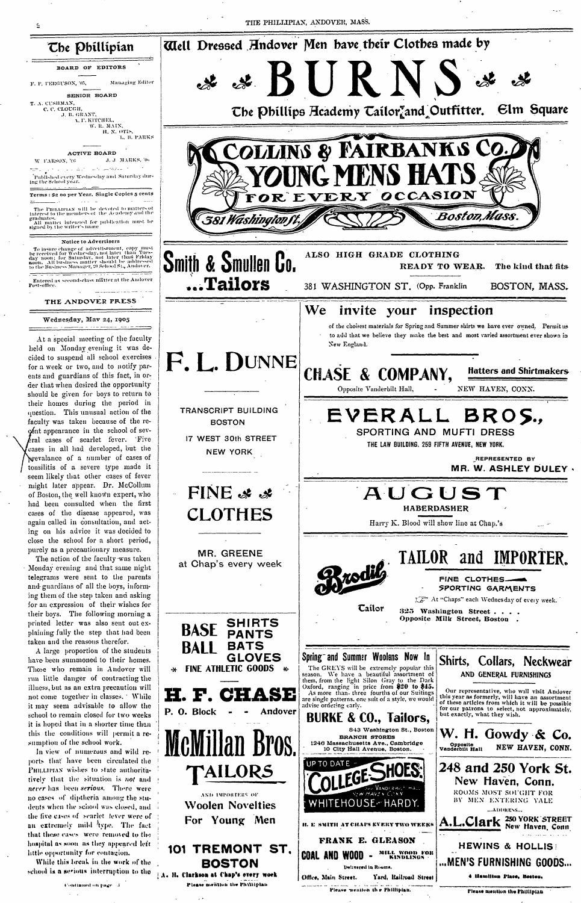T. A. CUSHMAN.

Post-office



taken and the reasons therefor. A large proportion of the students have been summoned to their homes. Those who remain in Andover will run little danger of contracting the illness, but as an extra precaution will not come together in classes. While it may seem advisable to allow the school to remain closed for two weeks it is hoped that in a shorter time than this the conditions will permit a resumption of the school work. In view of numerous and wild reports that have been circulated the PHILLIPIAN wishes to state authoritatively that the situation is not and never has been serious. There were no cases of diptheria among the students when the school was closed, and the five cases of searlet fever were of an extremely mild *type*. The fact that these cases were removed to the hospital as soon as they appeared left little opportunity for contagion.

While this break in the work of the school is a serious interruption to the

Continued on page [3]

 $\sim$   $\star$ 

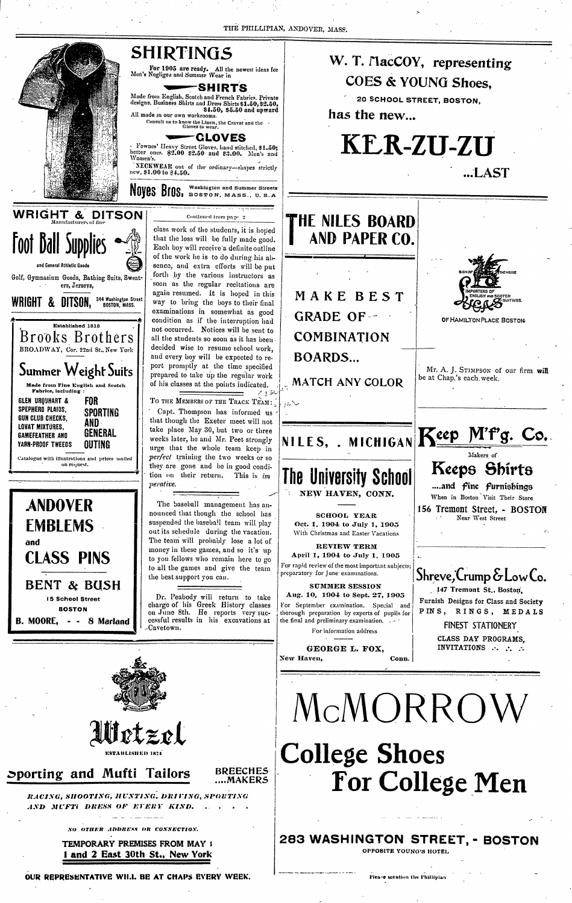THE PHILLIPIAN, ANDOVER, MASS.







**ESTABLISHED 1874** 

Sporting and Mufti Tailors

**BREECHES** .…MAKERS

RACING, SHOOTING, HUNTING, DRIVING, SPORTING AND MUFTI DRESS OF EVERY KIND. . . . .

NO OTHER ADDRESS OR CONNECTION.

TEMPORARY PREMISES FROM MAY 1 1 and 2 East 30th St., New York

OUR REPRESENTATIVE WILL BE AT CHAPS EVERY WEEK.

| GEORGE L. FOX,<br>New Haven.<br>Conn. | INVITATIONS                            |
|---------------------------------------|----------------------------------------|
|                                       | MCMORRO                                |
| <b>College Shoes</b>                  | <b>For College Men</b>                 |
|                                       | <b>283 WASHINGTON STREET. - BOSTON</b> |

OPPOSITE YOUNG'S HOTEL

Please mention the Philliplan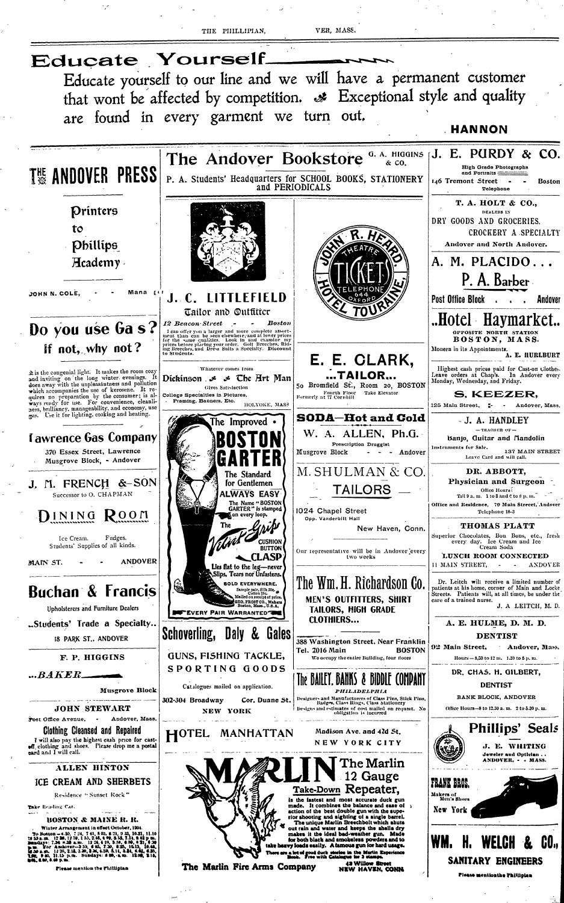

**DENTIST** 18 PARK ST., ANDOVER 388 Washington Street. Near Franklin 92 Main Street, **Andover, Mass.** Tel. 2016 Main **BOSTON** GUNS, FISHING TACKLE, F. P. HIGGINS We occupy the entire Building, four floors Hours - 8.30 to 12 m. 1.30 to 5 p.m. SPORTING GOODS DR. CHAS. H. GILBERT,  $...BAKER$ The DAILET, DANNS & DIDDLE **DENTIST** Catalogues mailed on application. Musgrove Block PHIL.IDELPHIA Designers and Manufacturers of Class Pins, Stick Pins, Badges, Class Rings, Class Stationery BANK BLOCK, ANDOVER Cor. Duane St. 302-304 Broadway **JOHN STEWART** Designs and estimates of cost mailed on request. No<br>obligation is incurred Office Hours-8 to 12.30 a. m. 2 to 5.30 p. m. **NEW YORK** Fost Office Avenue, Andover, Mass. Phillips' **Seals** Clothing Cleansed and Repaired HOTEL Madison Ave. and 42d St. MANHATTAN I will also pay the highest cash price for cast-NEW YORK CITY off clothing and shoes. Please drop me a postal J. E. WHITING eard and I will call. Jeweler and Optician. ANDOVER, - - MASS. The Marlin ALLEN HINTON 2 Gauge ICE CREAM AND SHERBETS FRANK BROS Take-Down Repeater, Residence "Sunset Rock" is the fastest and most accurate duck gun made. It combines the balance and ease of Take Reading Car. action of the best double gun with the superior shooting and sighting of a single barrel. New York BOSTON & MAINE R. R. The unique Marlin Breechbolt which shuts out rain and water and keeps the shells dry makes it the ideal bad-weather gun. Made Winter Arrangement in effect October, 1904. 70 Botton - 6.20, 7.24, 7.41, 8.02, 8.21, 9.32, 10.21, 11.10<br>19 Sa.m. 12 36, 12.59, 1.33, 2.44, 4.09, 3.33, 7.13, 9.62 p.m.<br>3madays: 7.34, 4.09, 3.34, 3.19, 3.34, 7.13, 9.62 p.m.<br>3madays: 7.34, 4.09, 3.35, 7.30, 9.25, 10.1 WELCH  $0.0<sub>n</sub>$ for both black and amokeless powders and to WM. take heavy loads easily. A famous gun for hard usage. re are a lot of good duck stories in the Marlin Experie<br>Book, Free with Catalogue for 3 stamps. SANITARY ENGINEERS 43 Willow Street The Marlin Fire Arms Company Please mention the Phillipian NEW HAVEN, CONN Please mentionthe Philipian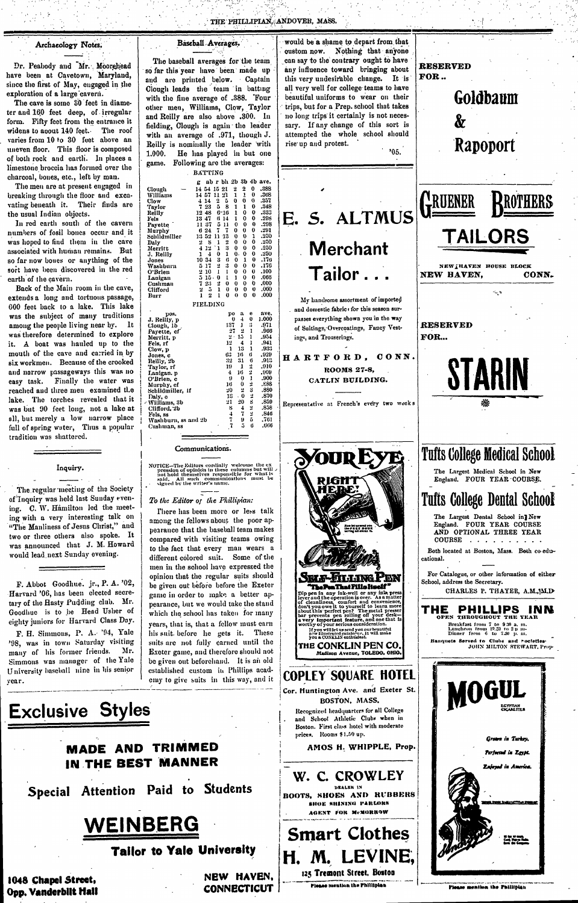#### Archaeology Notes.

Dr. Peabody and Mr. Moorehead have been at Cavetown, Maryland, since the first of May, engaged in the exploration of a large cavern.

The cave is some \$0 feet in diameter and 160 feet deep, of irregular form. Fifty feet from the entrance it widens to apout 140 feet. The roof varies from 10 to 30 feet above an uneven floor. This floor is composed of both rock and earth. In places a limestone broccia has formed over the charcoal, bones, etc., left by man.

The men are at present engaged in breaking through the floor and excavating beneath it. Their finds are the usual Indian objects.

In red earth south of the cavern numbers of fosil bones occur and it was hoped to find them in the cave associated with human remains. But so far now bones or anything of the sort have been discovered in the red earth of the cavern.

Back of the Main room in the cave, extends a long and tortuous passage, 600 feet back to a lake. This lake was the subject of many traditions among the people living near by. It was therefore determined to explore it. A boat was hauled up to the mouth of the cave and carried in by six workmen. Because of the crooked and narrow passageways this was no easy task. Finally the water was reached and three men examined the lake. The torches revealed that it was but 90 feet long, not a lake at all, but merely a low narrow place full of spring water, Thus a popular tradition was shattered.

Inquiry.

The regular meeting of the Society of Inquiry was held last Sunday evening. C. W. Hamilton led the meeting with a very interesting talk on "The Manliness of Jesus Christ," and two or three others also spoke. It was announced that J. M. Howard would lead next Sunday evening.

F. Abbot Goodhue. jr., P. A. '02, Harvard '06, has been elected secretary of the Hasty Pudding club. Mr. Goodhue is to be Head Usher of eighty juniors for Harvard Class Day.

F. H. Simmons, P. A. '94, Yale '98, was in town Saturday visiting many of his former friends. Mr. Simmons was manager of the Yale University baseball nine in his senior year.

### Baseball Averages.

The baseball averages for the team so far this year have been made up and are printed below. Captain Clough leads the team in batting with the fine average of .388. Four other men, Williams, Clow, Taylor and Reilly are also above .300. In fielding, Clough is again the leader with an average of .971, though J. Reilly is nominally the leader with He has played in but one  $1.000.$ game. Following are the averages:

**BATTING** 

|                       | g              |                |                | ab r bh 2b |                     |              | 3b 4b | ave.  |
|-----------------------|----------------|----------------|----------------|------------|---------------------|--------------|-------|-------|
| Clough                | 14             | 54             | 15             | 21         | 2                   | 2            | 0     | .388  |
| Williams              |                | 14 57          | 11             | 21         | 1                   | 1            | 0     | .368  |
| Clow                  | 4              | 14             | $\overline{2}$ | ũ          | 0                   | 0            | 0     | .357  |
| <b>Taylor</b>         | 7              | 23             | ŏ              | 8          | 1                   | 1            | 0     | .348  |
| Reilly                |                | 12 48          |                | $6 - 16$   | 1                   | 0            | 0     | .333  |
| Fels                  |                | 13 47          | 8              | 14         | 1                   | 0            | 0     | .298  |
| Payette               | 11             | 37             | ũ              | 11         | 0                   | 0            | 0     | .298  |
| Murphy                | 6              | 24             | 7              | 7          | 0                   | 0            | 0     | .291  |
| Schildmiller          | 13             | 52             | 11             | 13         | Ü                   | 0            | 1     | .250  |
| Daly                  | 2              | S              | 1              | 2          | 0                   | 0            | 0     | .250  |
| Merritt               | 4              | 12             | 1              | 3          | 0                   | $\bf{0}$     | 0     | .250  |
| J. Reilly             | 1              | $\overline{4}$ | 0              | 1          | 0.                  | 0            | 0     | .250  |
| Jones                 | 10             | 34             | 3              | 6          | 0                   | 1            | 0     | .176  |
| Washburn              | 5              | 17             | 2              | 3          | 0                   | 0            | 0     | .176  |
| O'Brien               | 2              | 10             | ı              | 1          | 0                   | 0            | 0     | .100  |
| Lanigan               | 5              | 15.            | 0              | ı          | 1                   | 0            | 0     | .066  |
| Cushman               | ï              | 23             | 2              | 0          | 0                   | 0            | O     | ,000  |
| Clifford              | $\overline{z}$ | 5              | ı              | 0          | $\bf{0}$            | 0            | Ü     | .000  |
| Burr                  | $\mathbf{1}$   | $\mathbf 2$    | $\mathbf{I}$   | 0          | $\bf{0}$            | 0            | 0     | .000  |
|                       |                | FIELDING       |                |            |                     |              |       |       |
| pos.                  |                |                |                |            | po                  | u            | €     | ave.  |
| J. Reilly, p          |                |                |                |            | 0                   | 4            | Ü     | 1.000 |
| Clough, 1b            |                |                |                |            | 137                 | $\mathbf{1}$ | 3     | .971  |
| Payette, cf           |                |                |                |            | 27                  | 2            | 1     | .966  |
| Merritt, p            |                |                |                |            | 일 -                 | 15           | ı     | ,954  |
| Fels, rf              |                |                |                | 12         |                     | 4            | ı     | .941  |
| Clow, p               |                |                |                |            | ı                   | 13           | ı     | .933  |
| Jones, c              |                |                |                | Ú.,        |                     | 16           | Ű     | .929  |
| Reilly, 2b            |                |                |                | 32         |                     | 31           | B     | ,913  |
| Taylor, rf            |                |                |                | 19         |                     | 1            | 2     | .910  |
| Lanigan. p            |                |                |                |            | 4                   | 16           | 2     | .909  |
| O'Brien, c            |                |                |                |            | 9                   | 0            | 1     | .900  |
| Murphy, cf            |                |                |                | 16         |                     | 0            | ż     | .988  |
| Schildmiller,<br>- If |                |                |                | 20         |                     | 2            | 3     | .880  |
| Daly, c               |                |                |                |            | 18                  | 0            | 2     | .870  |
| Williams, 3b          |                |                |                | 21         |                     | 20           | Ś     | .859  |
| Clifford, 2b          |                |                |                |            | s                   | 4            | Ž     | .858  |
| Fels, ss              |                |                |                |            | $\ddot{\textbf{r}}$ | 7            | ż     | .846  |
| Washburn, ss and 2b   |                |                |                |            | 7                   | 9            | ú     | .761  |
| Cushman, ss           |                |                |                |            | 7                   | 5            | 6     | .666  |
|                       |                |                |                |            |                     |              |       |       |
|                       |                |                |                |            |                     |              |       |       |

#### Communications.

NOTICE—The Editors cordially welcome the expression of opinion in these columns but will  $\angle$  not hold themselves responsible for what is said, All such communications must be signed by the writer's name.

#### To the Editor of the Phillipian:

There has been more or less talk among the fellows about the poor appearance that the baseball team makes compared with visiting teams owing to the fact that every man wears a different colored suit. Some of the men in the school have expressed the opinion that the regular suits should be given out before before the Exeter game in order to make a better appearance, but we would take the stand which the school has taken for many years, that is, that a fellow must earn his suit before he gets it. These suits are not fully earned until the Exeter game, and therefore should not

would be a shame to depart from that oustom now. Nothing that anyone can say to the contrary ought to have any influence toward bringing about this very undesirable change. It is all very well for college teams to have beautiful uniforms to wear on their trips, but for a Prep. school that takes no long trips it certainly is not necessary. If any change of this sort is attempted the whole school should rise up and protest. '05.

# E. S. ALTMUS **Merchant** Tailor . . .

My handsome assortment of imported and domestic fabric for this season surpasses everything shown you in the way of Suitings, Overcoatings, Fancy Vestings, and Trouserings.

#### HARTFORD, CONN **ROOMS 27-8,** CATLIN BUILDING.

Representative at French's every two weel



|     | <b>RESERVED</b><br>FOR                                                                                                   |
|-----|--------------------------------------------------------------------------------------------------------------------------|
|     | Goldbaum                                                                                                                 |
|     | $\mathbf{\hat{x}}$                                                                                                       |
|     | Rapoport                                                                                                                 |
|     |                                                                                                                          |
|     |                                                                                                                          |
|     | <b>REOTHERS</b><br>RUENER                                                                                                |
|     | <b>TAILORS</b>                                                                                                           |
|     |                                                                                                                          |
|     | NEW î HAVEN<br><b>HOUSE</b><br><b>BLOCK</b><br>NEW HAVEN,<br>CONN.                                                       |
|     | والجيبية                                                                                                                 |
|     |                                                                                                                          |
|     | <b>RESERVED</b><br>FOR                                                                                                   |
|     |                                                                                                                          |
| k s | ⋇                                                                                                                        |
|     |                                                                                                                          |
|     | Tufts College Medical School                                                                                             |
|     | The Largest Medical School in New                                                                                        |
|     | England. FOUR YEAR COURSE.                                                                                               |
|     | Tufts College Dental Schoo <b>f</b>                                                                                      |
|     | The Largest Dental School in New<br>England.<br>FOUR YEAR COURSE<br>AND OPTIONAL THREE YEAR<br><b>COURSE</b>             |
|     | Both located at Boston, Mass. Both co-edu-<br>cational.                                                                  |
|     | For Catalogue, or other information of either<br>School, address the Secretary.<br>CHARLES P. THAYER, A.M., M.D          |
|     |                                                                                                                          |
|     | Breakfast from<br>$9.30 a$ , m.<br>7<br>to<br>12.30 to 2 p m-<br>Luncheon from<br>to 7.30 p. m.<br>Dinner<br>Irota<br>-6 |

be given out beforehand. It is an old established custom in Phillips academy to give suits in this way, and it



#### TRIMMED AND MADE IN THE BEST MANNER

Attention Paid to Students **Special** 

## WEINBERG

**Tailor to Yale University** 

1048 Chapel Street, Opp. Vanderbilt Hall

NEW HAVEN, CONNECTICUT